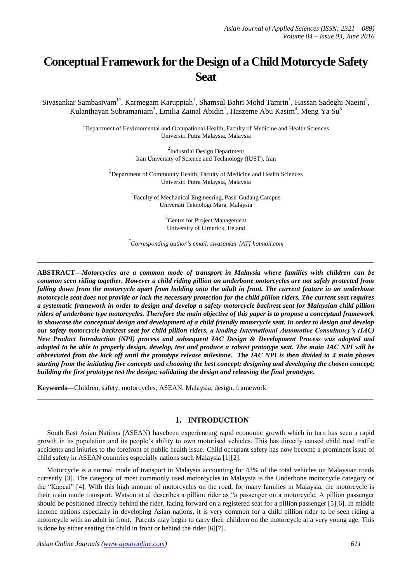# **Conceptual Framework for the Design of a Child Motorcycle Safety Seat**

Sivasankar Sambasivam<sup>1\*</sup>, Karmegam Karuppiah<sup>1</sup>, Shamsul Bahri Mohd Tamrin<sup>1</sup>, Hassan Sadeghi Naeini<sup>2</sup>, Kulanthayan Subramaniam<sup>3</sup>, Emilia Zainal Abidin<sup>1</sup>, Haszeme Abu Kasim<sup>4</sup>, Meng Ya Su<sup>5</sup>

> <sup>1</sup>Department of Environmental and Occupational Health, Faculty of Medicine and Health Sciences Universiti Putra Malaysia, Malaysia

> > <sup>2</sup>Industrial Design Department Iran University of Science and Technology (IUST), Iran

 $3$ Department of Community Health, Faculty of Medicine and Health Sciences Universiti Putra Malaysia, Malaysia

> <sup>4</sup> Faculty of Mechanical Engineering, Pasir Gudang Campus Universiti Teknologi Mara, Malaysia

> > <sup>5</sup>Centre for Project Management University of Limerick, Ireland

*\* Corresponding author's email: sivasankar [AT] hotmail.com*

**\_\_\_\_\_\_\_\_\_\_\_\_\_\_\_\_\_\_\_\_\_\_\_\_\_\_\_\_\_\_\_\_\_\_\_\_\_\_\_\_\_\_\_\_\_\_\_\_\_\_\_\_\_\_\_\_\_\_\_\_\_\_\_\_\_\_\_\_\_\_\_\_\_\_\_\_\_\_\_\_\_**

**ABSTRACT—***Motorcycles are a common mode of transport in Malaysia where families with children can be common seen riding together. However a child riding pillion on underbone motorcycles are not safely protected from falling down from the motorcycle apart from holding onto the adult in front. The current feature in an underbone motorcycle seat does not provide or lack the necessary protection for the child pillion riders. The current seat requires a systematic framework in order to design and develop a safety motorcycle backrest seat for Malaysian child pillion riders of underbone type motorcycles. Therefore the main objective of this paper is to propose a conceptual framework to showcase the conceptual design and development of a child friendly motorcycle seat. In order to design and develop our safety motorcycle backrest seat for child pillion riders, a leading International Automotive Consultancy's (IAC) New Product Introduction (NPI) process and subsequent IAC Design & Development Process was adopted and adapted to be able to properly design, develop, test and produce a robust prototype seat. The main IAC NPI will be abbreviated from the kick off until the prototype release milestone. The IAC NPI is then divided to 4 main phases starting from the initiating five concepts and choosing the best concept; designing and developing the chosen concept; building the first prototype test the design; validating the design and releasing the final prototype.* 

**Keywords—**Children, safety, motorcycles, ASEAN, Malaysia, design, framework

## **1. INTRODUCTION**

South East Asian Nations (ASEAN) havebeen experiencing rapid economic growth which in turn has seen a rapid growth in its population and its people"s ability to own motorised vehicles. This has directly caused child road traffic accidents and injuries to the forefront of public health issue. Child occupant safety has now become a prominent issue of child safety in ASEAN countries especially nations such Malaysia [1][2].

**\_\_\_\_\_\_\_\_\_\_\_\_\_\_\_\_\_\_\_\_\_\_\_\_\_\_\_\_\_\_\_\_\_\_\_\_\_\_\_\_\_\_\_\_\_\_\_\_\_\_\_\_\_\_\_\_\_\_\_\_\_\_\_\_\_\_\_\_\_\_\_\_\_\_\_\_\_\_\_\_\_**

Motorcycle is a normal mode of transport in Malaysia accounting for 43% of the total vehicles on Malaysian roads currently [3]. The category of most commonly used motorcycles in Malaysia is the Underbone motorcycle category or the "Kapcai" [4]. With this high amount of motorcycles on the road, for many families in Malaysia, the motorcycle is their main mode transport. Watson et al describes a pillion rider as "a passenger on a motorcycle. A pillion passenger should be positioned directly behind the rider, facing forward on a registered seat for a pillion passenger [5][6]. In middle income nations especially in developing Asian nations, it is very common for a child pillion rider to be seen riding a motorcycle with an adult in front. Parents may begin to carry their children on the motorcycle at a very young age. This is done by either seating the child in front or behind the rider [6][7].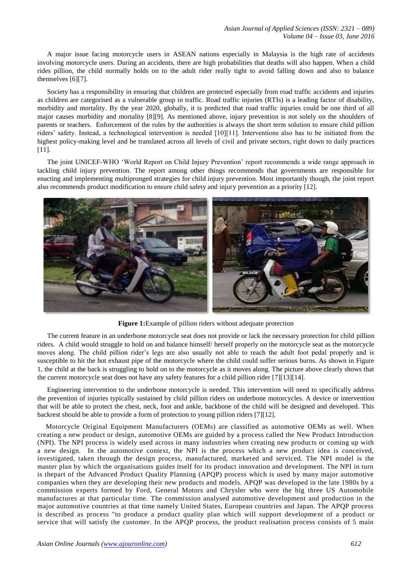A major issue facing motorcycle users in ASEAN nations especially in Malaysia is the high rate of accidents involving motorcycle users. During an accidents, there are high probabilities that deaths will also happen. When a child rides pillion, the child normally holds on to the adult rider really tight to avoid falling down and also to balance themselves [6][7].

Society has a responsibility in ensuring that children are protected especially from road traffic accidents and injuries as children are categorised as a vulnerable group in traffic. Road traffic injuries (RTIs) is a leading factor of disability, morbidity and mortality. By the year 2020, globally, it is predicted that road traffic injuries could be one third of all major causes morbidity and mortality [8][9]. As mentioned above, injury prevention is not solely on the shoulders of parents or teachers. Enforcement of the rules by the authorities is always the short term solution to ensure child pillion riders" safety. Instead, a technological intervention is needed [10][11]. Interventions also has to be initiated from the highest policy-making level and be translated across all levels of civil and private sectors, right down to daily practices [11].

The joint UNICEF-WHO "World Report on Child Injury Prevention" report recommends a wide range approach in tackling child injury prevention. The report among other things recommends that governments are responsible for enacting and implementing multipronged strategies for child injury prevention. Most importantly though, the joint report also recommends product modification to ensure child safety and injury prevention as a priority [12].



**Figure 1:**Example of pillion riders without adequate protection

The current feature in an underbone motorcycle seat does not provide or lack the necessary protection for child pillion riders. A child would struggle to hold on and balance himself/ herself properly on the motorcycle seat as the motorcycle moves along. The child pillion rider"s legs are also usually not able to reach the adult foot pedal properly and is susceptible to hit the hot exhaust pipe of the motorcycle where the child could suffer serious burns. As shown in Figure 1, the child at the back is struggling to hold on to the motorcycle as it moves along. The picture above clearly shows that the current motorcycle seat does not have any safety features for a child pillion rider [7][13][14].

Engineering intervention to the underbone motorcycle is needed. This intervention will need to specifically address the prevention of injuries typically sustained by child pillion riders on underbone motorcycles. A device or intervention that will be able to protect the chest, neck, foot and ankle, backbone of the child will be designed and developed. This backrest should be able to provide a form of protection to young pillion riders [7][12].

Motorcycle Original Equipment Manufacturers (OEMs) are classified as automotive OEMs as well. When creating a new product or design, automotive OEMs are guided by a process called the New Product Introduction (NPI). The NPI process is widely used across in many industries when creating new products or coming up with a new design. In the automotive context, the NPI is the process which a new product idea is conceived, investigated, taken through the design process, manufactured, marketed and serviced. The NPI model is the master plan by which the organisations guides itself for its product innovation and development. The NPI in turn is thepart of the Advanced Product Quality Planning (APQP) process which is used by many major automotive companies when they are developing their new products and models. APQP was developed in the late 1980s by a commission experts formed by Ford, General Motors and Chrysler who were the big three US Automobile manufactures at that particular time. The commission analysed automotive development and production in the major automotive countries at that time namely United States, European countries and Japan. The APQP process is described as process "to produce a product quality plan which will support development of a product or service that will satisfy the customer. In the APQP process, the product realisation process consists of 5 main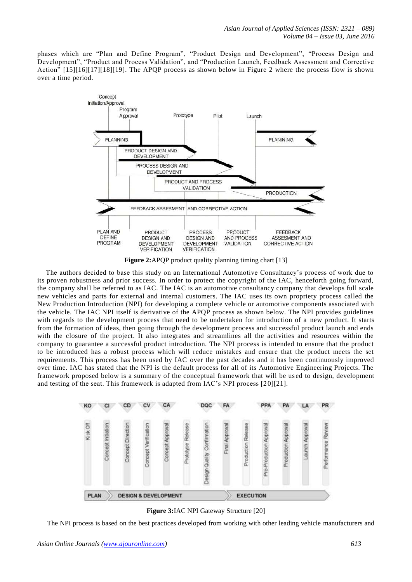phases which are "Plan and Define Program", "Product Design and Development", "Process Design and Development", "Product and Process Validation", and "Production Launch, Feedback Assessment and Corrective Action" [15][16][17][18][19]. The APQP process as shown below in Figure 2 where the process flow is shown over a time period.



**Figure 2:**APQP product quality planning timing chart [13]

The authors decided to base this study on an International Automotive Consultancy"s process of work due to its proven robustness and prior success. In order to protect the copyright of the IAC, henceforth going forward, the company shall be referred to as IAC. The IAC is an automotive consultancy company that develops full scale new vehicles and parts for external and internal customers. The IAC uses its own propriety process called the New Production Introduction (NPI) for developing a complete vehicle or automotive components associated with the vehicle. The IAC NPI itself is derivative of the APQP process as shown below. The NPI provides guidelines with regards to the development process that need to be undertaken for introduction of a new product. It starts from the formation of ideas, then going through the development process and successful product launch and ends with the closure of the project. It also integrates and streamlines all the activities and resources within the company to guarantee a successful product introduction. The NPI process is intended to ensure that the product to be introduced has a robust process which will reduce mistakes and ensure that the product meets the set requirements. This process has been used by IAC over the past decades and it has been continuously improved over time. IAC has stated that the NPI is the default process for all of its Automotive Engineering Projects. The framework proposed below is a summary of the conceptual framework that will be us ed to design, development and testing of the seat. This framework is adapted from IAC"s NPI process [20][21].



**Figure 3:**IAC NPI Gateway Structure [20]

The NPI process is based on the best practices developed from working with other leading vehicle manufacturers and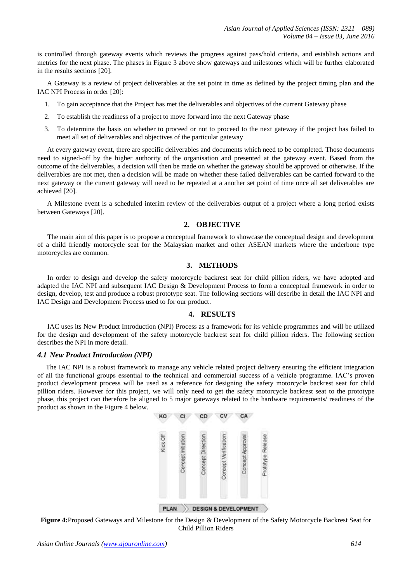is controlled through gateway events which reviews the progress against pass/hold criteria, and establish actions and metrics for the next phase. The phases in Figure 3 above show gateways and milestones which will be further elaborated in the results sections [20].

A Gateway is a review of project deliverables at the set point in time as defined by the project timing plan and the IAC NPI Process in order [20]:

- 1. To gain acceptance that the Project has met the deliverables and objectives of the current Gateway phase
- 2. To establish the readiness of a project to move forward into the next Gateway phase
- 3. To determine the basis on whether to proceed or not to proceed to the next gateway if the project has failed to meet all set of deliverables and objectives of the particular gateway

At every gateway event, there are specific deliverables and documents which need to be completed. Those documents need to signed-off by the higher authority of the organisation and presented at the gateway event. Based from the outcome of the deliverables, a decision will then be made on whether the gateway should be approved or otherwise. If the deliverables are not met, then a decision will be made on whether these failed deliverables can be carried forward to the next gateway or the current gateway will need to be repeated at a another set point of time once all set deliverables are achieved [20].

A Milestone event is a scheduled interim review of the deliverables output of a project where a long period exists between Gateways [20].

## **2. OBJECTIVE**

The main aim of this paper is to propose a conceptual framework to showcase the conceptual design and development of a child friendly motorcycle seat for the Malaysian market and other ASEAN markets where the underbone type motorcycles are common.

## **3. METHODS**

In order to design and develop the safety motorcycle backrest seat for child pillion riders, we have adopted and adapted the IAC NPI and subsequent IAC Design & Development Process to form a conceptual framework in order to design, develop, test and produce a robust prototype seat. The following sections will describe in detail the IAC NPI and IAC Design and Development Process used to for our product.

## **4. RESULTS**

IAC uses its New Product Introduction (NPI) Process as a framework for its vehicle programmes and will be utilized for the design and development of the safety motorcycle backrest seat for child pillion riders. The following section describes the NPI in more detail.

#### *4.1 New Product Introduction (NPI)*

The IAC NPI is a robust framework to manage any vehicle related project delivery ensuring the efficient integration of all the functional groups essential to the technical and commercial success of a vehicle programme. IAC"s proven product development process will be used as a reference for designing the safety motorcycle backrest seat for child pillion riders. However for this project, we will only need to get the safety motorcycle backrest seat to the prototype phase, this project can therefore be aligned to 5 major gateways related to the hardware requirements/ readiness of the product as shown in the Figure 4 below.



**Figure 4:**Proposed Gateways and Milestone for the Design & Development of the Safety Motorcycle Backrest Seat for Child Pillion Riders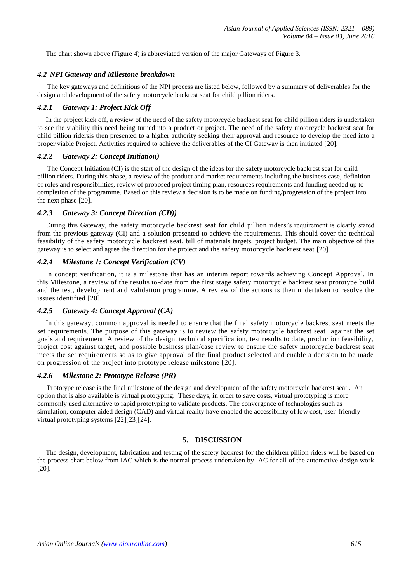The chart shown above (Figure 4) is abbreviated version of the major Gateways of Figure 3.

## *4.2 NPI Gateway and Milestone breakdown*

The key gateways and definitions of the NPI process are listed below, followed by a summary of deliverables for the design and development of the safety motorcycle backrest seat for child pillion riders.

## *4.2.1 Gateway 1: Project Kick Off*

In the project kick off, a review of the need of the safety motorcycle backrest seat for child pillion riders is undertaken to see the viability this need being turnedinto a product or project. The need of the safety motorcycle backrest seat for child pillion ridersis then presented to a higher authority seeking their approval and resource to develop the need into a proper viable Project. Activities required to achieve the deliverables of the CI Gateway is then initiated [20].

## *4.2.2 Gateway 2: Concept Initiation)*

The Concept Initiation (CI) is the start of the design of the ideas for the safety motorcycle backrest seat for child pillion riders. During this phase, a review of the product and market requirements including the business case, definition of roles and responsibilities, review of proposed project timing plan, resources requirements and funding needed up to completion of the programme. Based on this review a decision is to be made on funding/progression of the project into the next phase [20].

## *4.2.3 Gateway 3: Concept Direction (CD))*

During this Gateway, the safety motorcycle backrest seat for child pillion riders"s requirement is clearly stated from the previous gateway (CI) and a solution presented to achieve the requirements. This should cover the technical feasibility of the safety motorcycle backrest seat, bill of materials targets, project budget. The main objective of this gateway is to select and agree the direction for the project and the safety motorcycle backrest seat [20].

## *4.2.4 Milestone 1: Concept Verification (CV)*

In concept verification, it is a milestone that has an interim report towards achieving Concept Approval. In this Milestone, a review of the results to-date from the first stage safety motorcycle backrest seat prototype build and the test, development and validation programme. A review of the actions is then undertaken to resolve the issues identified [20].

## *4.2.5 Gateway 4: Concept Approval (CA)*

In this gateway, common approval is needed to ensure that the final safety motorcycle backrest seat meets the set requirements. The purpose of this gateway is to review the safety motorcycle backrest seat against the set goals and requirement. A review of the design, technical specification, test results to date, production feasibility, project cost against target, and possible business plan/case review to ensure the safety motorcycle backrest seat meets the set requirements so as to give approval of the final product selected and enable a decision to be made on progression of the project into prototype release milestone [20].

## *4.2.6 Milestone 2: Prototype Release (PR)*

Prototype release is the final milestone of the design and development of the safety motorcycle backrest seat . An option that is also available is virtual prototyping. These days, in order to save costs, virtual prototyping is more commonly used alternative to rapid prototyping to validate products. The convergence of technologies such as simulation, computer aided design (CAD) and virtual reality have enabled the accessibility of low cost, user-friendly virtual prototyping systems [22][23][24].

## **5. DISCUSSION**

The design, development, fabrication and testing of the safety backrest for the children pillion riders will be based on the process chart below from IAC which is the normal process undertaken by IAC for all of the automotive design work [20].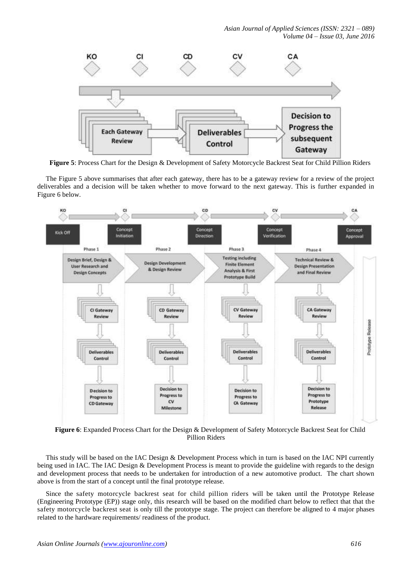*Asian Journal of Applied Sciences (ISSN: 2321 – 089) Volume 04 – Issue 03, June 2016*



**Figure 5**: Process Chart for the Design & Development of Safety Motorcycle Backrest Seat for Child Pillion Riders

The Figure 5 above summarises that after each gateway, there has to be a gateway review for a review of the project deliverables and a decision will be taken whether to move forward to the next gateway. This is further expanded in Figure 6 below.



**Figure 6**: Expanded Process Chart for the Design & Development of Safety Motorcycle Backrest Seat for Child Pillion Riders

This study will be based on the IAC Design & Development Process which in turn is based on the IAC NPI currently being used in IAC. The IAC Design & Development Process is meant to provide the guideline with regards to the design and development process that needs to be undertaken for introduction of a new automotive product. The chart shown above is from the start of a concept until the final prototype release.

Since the safety motorcycle backrest seat for child pillion riders will be taken until the Prototype Release (Engineering Prototype (EP)) stage only, this research will be based on the modified chart below to reflect that that the safety motorcycle backrest seat is only till the prototype stage. The project can therefore be aligned to 4 major phases related to the hardware requirements/ readiness of the product.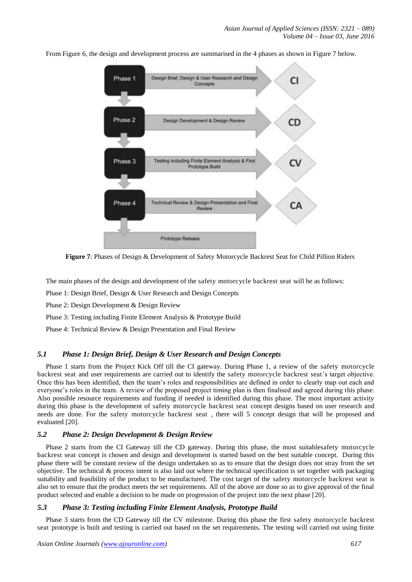

From Figure 6, the design and development process are summarised in the 4 phases as shown in Figure 7 below.

**Figure 7**: Phases of Design & Development of Safety Motorcycle Backrest Seat for Child Pillion Riders

The main phases of the design and development of the safety motorcycle backrest seat will be as follows:

Phase 1: Design Brief, Design & User Research and Design Concepts

Phase 2: Design Development & Design Review

Phase 3: Testing including Finite Element Analysis & Prototype Build

Phase 4: Technical Review & Design Presentation and Final Review

## *5.1 Phase 1: Design Brief, Design & User Research and Design Concepts*

Phase 1 starts from the Project Kick Off till the CI gateway. During Phase 1, a review of the safety motorcycle backrest seat and user requirements are carried out to identify the safety motorcycle backrest seat"s target objective. Once this has been identified, then the team"s roles and responsibilities are defined in order to clearly map out each and everyone's roles in the team. A review of the proposed project timing plan is then finalised and agreed during this phase. Also possible resource requirements and funding if needed is identified during this phase. The most important activity during this phase is the development of safety motorcycle backrest seat concept designs based on user research and needs are done. For the safety motorcycle backrest seat , there will 5 concept design that will be proposed and evaluated [20].

## *5.2 Phase 2: Design Development & Design Review*

Phase 2 starts from the CI Gateway till the CD gateway. During this phase, the most suitablesafety motorcycle backrest seat concept is chosen and design and development is started based on the best suitable concept. During this phase there will be constant review of the design undertaken so as to ensure that the design does not stray from the set objective. The technical  $\&$  process intent is also laid out where the technical specification is set together with packaging suitability and feasibility of the product to be manufactured. The cost target of the safety motorcycle backrest seat is also set to ensure that the product meets the set requirements. All of the above are done so as to give approval of the final product selected and enable a decision to be made on progression of the project into the next phase [20].

## *5.3 Phase 3: Testing including Finite Element Analysis, Prototype Build*

Phase 3 starts from the CD Gateway till the CV milestone. During this phase the first safety motorcycle backrest seat prototype is built and testing is carried out based on the set requirements. The testing will carried out using finite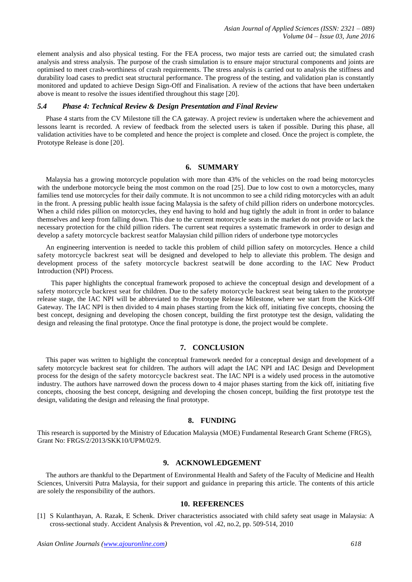element analysis and also physical testing. For the FEA process, two major tests are carried out; the simulated crash analysis and stress analysis. The purpose of the crash simulation is to ensure major structural components and joints are optimised to meet crash-worthiness of crash requirements. The stress analysis is carried out to analysis the stiffness and durability load cases to predict seat structural performance. The progress of the testing, and validation plan is constantly monitored and updated to achieve Design Sign-Off and Finalisation. A review of the actions that have been undertaken above is meant to resolve the issues identified throughout this stage [20].

#### *5.4 Phase 4: Technical Review & Design Presentation and Final Review*

Phase 4 starts from the CV Milestone till the CA gateway. A project review is undertaken where the achievement and lessons learnt is recorded. A review of feedback from the selected users is taken if possible. During this phase, all validation activities have to be completed and hence the project is complete and closed. Once the project is complete, the Prototype Release is done [20].

#### **6. SUMMARY**

Malaysia has a growing motorcycle population with more than 43% of the vehicles on the road being motorcycles with the underbone motorcycle being the most common on the road [25]. Due to low cost to own a motorcycles, many families tend use motorcycles for their daily commute. It is not uncommon to see a child riding motorcycles with an adult in the front. A pressing public health issue facing Malaysia is the safety of child pillion riders on underbone motorcycles. When a child rides pillion on motorcycles, they end having to hold and hug tightly the adult in front in order to balance themselves and keep from falling down. This due to the current motorcycle seats in the market do not provide or lack the necessary protection for the child pillion riders. The current seat requires a systematic framework in order to design and develop a safety motorcycle backrest seatfor Malaysian child pillion riders of underbone type motorcycles

An engineering intervention is needed to tackle this problem of child pillion safety on motorcycles. Hence a child safety motorcycle backrest seat will be designed and developed to help to alleviate this problem. The design and development process of the safety motorcycle backrest seatwill be done according to the IAC New Product Introduction (NPI) Process.

 This paper highlights the conceptual framework proposed to achieve the conceptual design and development of a safety motorcycle backrest seat for children. Due to the safety motorcycle backrest seat being taken to the prototype release stage, the IAC NPI will be abbreviated to the Prototype Release Milestone, where we start from the Kick-Off Gateway. The IAC NPI is then divided to 4 main phases starting from the kick off, initiating five concepts, choosing the best concept, designing and developing the chosen concept, building the first prototype test the design, validating the design and releasing the final prototype. Once the final prototype is done, the project would be complete.

## **7. CONCLUSION**

This paper was written to highlight the conceptual framework needed for a conceptual design and development of a safety motorcycle backrest seat for children. The authors will adapt the IAC NPI and IAC Design and Development process for the design of the safety motorcycle backrest seat. The IAC NPI is a widely used process in the automotive industry. The authors have narrowed down the process down to 4 major phases starting from the kick off, initiating five concepts, choosing the best concept, designing and developing the chosen concept, building the first prototype test the design, validating the design and releasing the final prototype.

#### **8. FUNDING**

This research is supported by the Ministry of Education Malaysia (MOE) Fundamental Research Grant Scheme (FRGS), Grant No: FRGS/2/2013/SKK10/UPM/02/9.

#### **9. ACKNOWLEDGEMENT**

The authors are thankful to the Department of Environmental Health and Safety of the Faculty of Medicine and Health Sciences, Universiti Putra Malaysia, for their support and guidance in preparing this article. The contents of this article are solely the responsibility of the authors.

## **10. REFERENCES**

[1] S Kulanthayan, A. Razak, E Schenk. Driver characteristics associated with child safety seat usage in Malaysia: A cross-sectional study. Accident Analysis & Prevention, vol .42, no.2, pp. 509-514, 2010